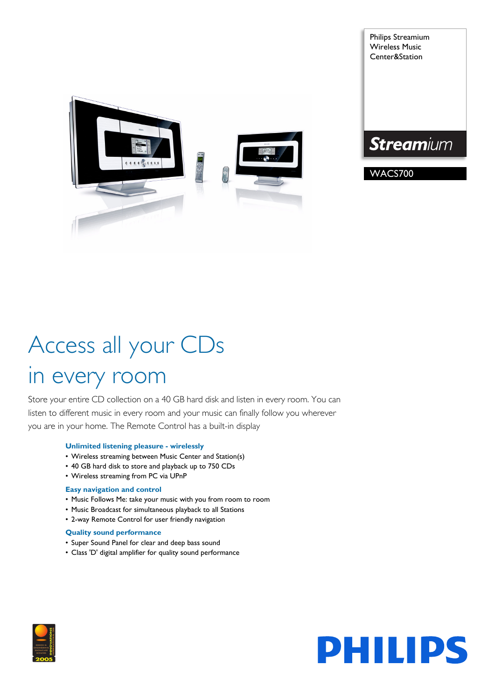

Philips Streamium Wireless Music Center&Station



WACS700

# Access all your CDs in every room

Store your entire CD collection on a 40 GB hard disk and listen in every room. You can listen to different music in every room and your music can finally follow you wherever you are in your home. The Remote Control has a built-in display

# **Unlimited listening pleasure - wirelessly**

- Wireless streaming between Music Center and Station(s)
- 40 GB hard disk to store and playback up to 750 CDs
- Wireless streaming from PC via UPnP

# **Easy navigation and control**

- Music Follows Me: take your music with you from room to room
- Music Broadcast for simultaneous playback to all Stations
- 2-way Remote Control for user friendly navigation

# **Quality sound performance**

- Super Sound Panel for clear and deep bass sound
- Class 'D' digital amplifier for quality sound performance



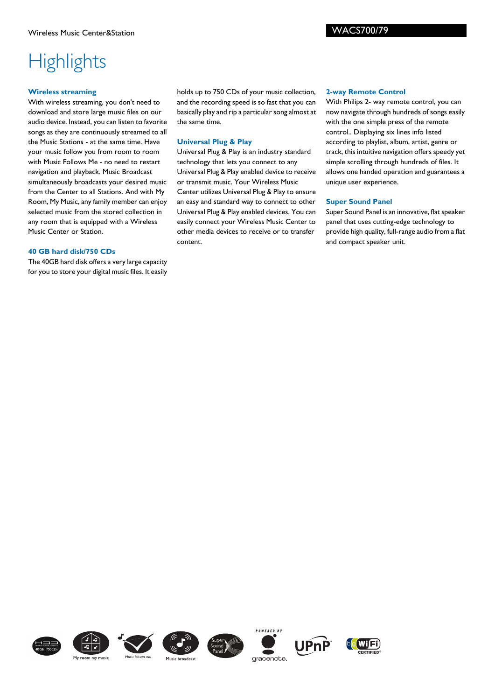# **Highlights**

## **Wireless streaming**

With wireless streaming, you don't need to download and store large music files on our audio device. Instead, you can listen to favorite songs as they are continuously streamed to all the Music Stations - at the same time. Have your music follow you from room to room with Music Follows Me - no need to restart navigation and playback. Music Broadcast simultaneously broadcasts your desired music from the Center to all Stations. And with My Room, My Music, any family member can enjoy selected music from the stored collection in any room that is equipped with a Wireless Music Center or Station.

## **40 GB hard disk/750 CDs**

The 40GB hard disk offers a very large capacity for you to store your digital music files. It easily holds up to 750 CDs of your music collection, and the recording speed is so fast that you can basically play and rip a particular song almost at the same time.

# **Universal Plug & Play**

Universal Plug & Play is an industry standard technology that lets you connect to any Universal Plug & Play enabled device to receive or transmit music. Your Wireless Music Center utilizes Universal Plug & Play to ensure an easy and standard way to connect to other Universal Plug & Play enabled devices. You can easily connect your Wireless Music Center to other media devices to receive or to transfer content.

### **2-way Remote Control**

With Philips 2- way remote control, you can now navigate through hundreds of songs easily with the one simple press of the remote control.. Displaying six lines info listed according to playlist, album, artist, genre or track, this intuitive navigation offers speedy yet simple scrolling through hundreds of files. It allows one handed operation and guarantees a unique user experience.

# **Super Sound Panel**

Super Sound Panel is an innovative, flat speaker panel that uses cutting-edge technology to provide high quality, full-range audio from a flat and compact speaker unit.